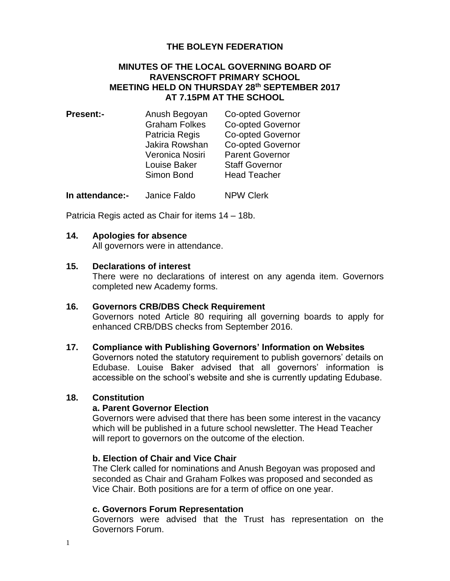## **THE BOLEYN FEDERATION**

## **MINUTES OF THE LOCAL GOVERNING BOARD OF RAVENSCROFT PRIMARY SCHOOL MEETING HELD ON THURSDAY 28th SEPTEMBER 2017 AT 7.15PM AT THE SCHOOL**

| <b>Present:-</b> | Anush Begoyan<br><b>Graham Folkes</b><br>Patricia Regis<br>Jakira Rowshan<br>Veronica Nosiri<br>Louise Baker | <b>Co-opted Governor</b><br><b>Co-opted Governor</b><br><b>Co-opted Governor</b><br><b>Co-opted Governor</b><br><b>Parent Governor</b><br><b>Staff Governor</b> |
|------------------|--------------------------------------------------------------------------------------------------------------|-----------------------------------------------------------------------------------------------------------------------------------------------------------------|
| In attendance:-  | Simon Bond<br>Janice Faldo                                                                                   | <b>Head Teacher</b><br>NPW Clerk                                                                                                                                |

Patricia Regis acted as Chair for items 14 – 18b.

#### **14. Apologies for absence**

All governors were in attendance.

#### **15. Declarations of interest**

There were no declarations of interest on any agenda item. Governors completed new Academy forms.

#### **16. Governors CRB/DBS Check Requirement**

Governors noted Article 80 requiring all governing boards to apply for enhanced CRB/DBS checks from September 2016.

#### **17. Compliance with Publishing Governors' Information on Websites** Governors noted the statutory requirement to publish governors' details on Edubase. Louise Baker advised that all governors' information is accessible on the school's website and she is currently updating Edubase.

#### **18. Constitution**

#### **a. Parent Governor Election**

Governors were advised that there has been some interest in the vacancy which will be published in a future school newsletter. The Head Teacher will report to governors on the outcome of the election.

#### **b. Election of Chair and Vice Chair**

The Clerk called for nominations and Anush Begoyan was proposed and seconded as Chair and Graham Folkes was proposed and seconded as Vice Chair. Both positions are for a term of office on one year.

#### **c. Governors Forum Representation**

Governors were advised that the Trust has representation on the Governors Forum.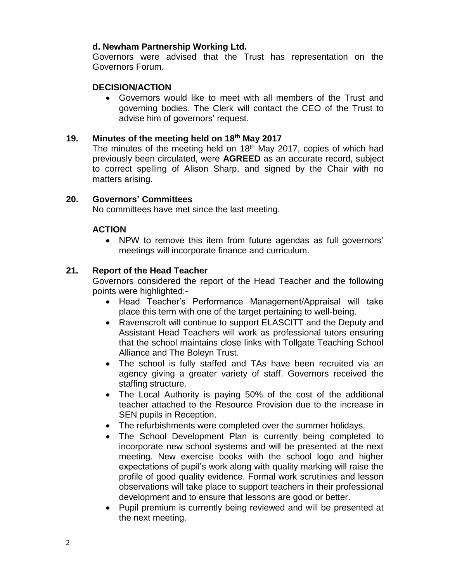## **d. Newham Partnership Working Ltd.**

Governors were advised that the Trust has representation on the Governors Forum.

## **DECISION/ACTION**

• Governors would like to meet with all members of the Trust and governing bodies. The Clerk will contact the CEO of the Trust to advise him of governors' request.

## **19. Minutes of the meeting held on 18th May 2017**

The minutes of the meeting held on 18<sup>th</sup> May 2017, copies of which had previously been circulated, were **AGREED** as an accurate record, subject to correct spelling of Alison Sharp, and signed by the Chair with no matters arising.

### **20. Governors' Committees**

No committees have met since the last meeting.

# **ACTION**

• NPW to remove this item from future agendas as full governors' meetings will incorporate finance and curriculum.

# **21. Report of the Head Teacher**

Governors considered the report of the Head Teacher and the following points were highlighted:-

- Head Teacher's Performance Management/Appraisal will take place this term with one of the target pertaining to well-being.
- Ravenscroft will continue to support ELASCITT and the Deputy and Assistant Head Teachers will work as professional tutors ensuring that the school maintains close links with Tollgate Teaching School Alliance and The Boleyn Trust.
- The school is fully staffed and TAs have been recruited via an agency giving a greater variety of staff. Governors received the staffing structure.
- The Local Authority is paying 50% of the cost of the additional teacher attached to the Resource Provision due to the increase in SEN pupils in Reception.
- The refurbishments were completed over the summer holidays.
- The School Development Plan is currently being completed to incorporate new school systems and will be presented at the next meeting. New exercise books with the school logo and higher expectations of pupil's work along with quality marking will raise the profile of good quality evidence. Formal work scrutinies and lesson observations will take place to support teachers in their professional development and to ensure that lessons are good or better.
- Pupil premium is currently being reviewed and will be presented at the next meeting.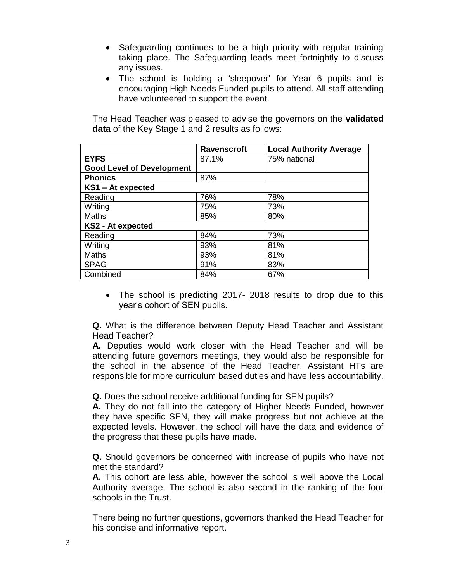- Safeguarding continues to be a high priority with regular training taking place. The Safeguarding leads meet fortnightly to discuss any issues.
- The school is holding a 'sleepover' for Year 6 pupils and is encouraging High Needs Funded pupils to attend. All staff attending have volunteered to support the event.

The Head Teacher was pleased to advise the governors on the **validated data** of the Key Stage 1 and 2 results as follows:

|                                  | <b>Ravenscroft</b> | <b>Local Authority Average</b> |  |  |
|----------------------------------|--------------------|--------------------------------|--|--|
| <b>EYFS</b>                      | 87.1%              | 75% national                   |  |  |
| <b>Good Level of Development</b> |                    |                                |  |  |
| <b>Phonics</b>                   | 87%                |                                |  |  |
| KS1 - At expected                |                    |                                |  |  |
| Reading                          | 76%                | 78%                            |  |  |
| Writing                          | 75%                | 73%                            |  |  |
| <b>Maths</b>                     | 85%                | 80%                            |  |  |
| KS2 - At expected                |                    |                                |  |  |
| Reading                          | 84%                | 73%                            |  |  |
| Writing                          | 93%                | 81%                            |  |  |
| Maths                            | 93%                | 81%                            |  |  |
| <b>SPAG</b>                      | 91%                | 83%                            |  |  |
| Combined                         | 84%                | 67%                            |  |  |

• The school is predicting 2017- 2018 results to drop due to this year's cohort of SEN pupils.

**Q.** What is the difference between Deputy Head Teacher and Assistant Head Teacher?

**A.** Deputies would work closer with the Head Teacher and will be attending future governors meetings, they would also be responsible for the school in the absence of the Head Teacher. Assistant HTs are responsible for more curriculum based duties and have less accountability.

**Q.** Does the school receive additional funding for SEN pupils?

**A.** They do not fall into the category of Higher Needs Funded, however they have specific SEN, they will make progress but not achieve at the expected levels. However, the school will have the data and evidence of the progress that these pupils have made.

**Q.** Should governors be concerned with increase of pupils who have not met the standard?

**A.** This cohort are less able, however the school is well above the Local Authority average. The school is also second in the ranking of the four schools in the Trust.

There being no further questions, governors thanked the Head Teacher for his concise and informative report.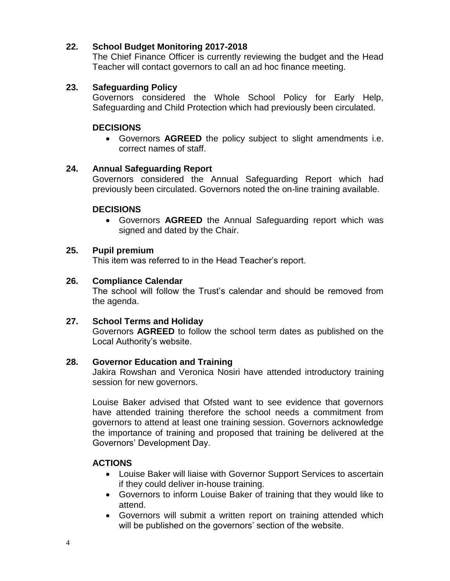# **22. School Budget Monitoring 2017-2018**

The Chief Finance Officer is currently reviewing the budget and the Head Teacher will contact governors to call an ad hoc finance meeting.

## **23. Safeguarding Policy**

Governors considered the Whole School Policy for Early Help, Safeguarding and Child Protection which had previously been circulated.

## **DECISIONS**

• Governors **AGREED** the policy subject to slight amendments i.e. correct names of staff.

## **24. Annual Safeguarding Report**

Governors considered the Annual Safeguarding Report which had previously been circulated. Governors noted the on-line training available.

### **DECISIONS**

• Governors **AGREED** the Annual Safeguarding report which was signed and dated by the Chair.

### **25. Pupil premium**

This item was referred to in the Head Teacher's report.

### **26. Compliance Calendar**

The school will follow the Trust's calendar and should be removed from the agenda.

### **27. School Terms and Holiday**

Governors **AGREED** to follow the school term dates as published on the Local Authority's website.

### **28. Governor Education and Training**

Jakira Rowshan and Veronica Nosiri have attended introductory training session for new governors.

Louise Baker advised that Ofsted want to see evidence that governors have attended training therefore the school needs a commitment from governors to attend at least one training session. Governors acknowledge the importance of training and proposed that training be delivered at the Governors' Development Day.

### **ACTIONS**

- Louise Baker will liaise with Governor Support Services to ascertain if they could deliver in-house training.
- Governors to inform Louise Baker of training that they would like to attend.
- Governors will submit a written report on training attended which will be published on the governors' section of the website.